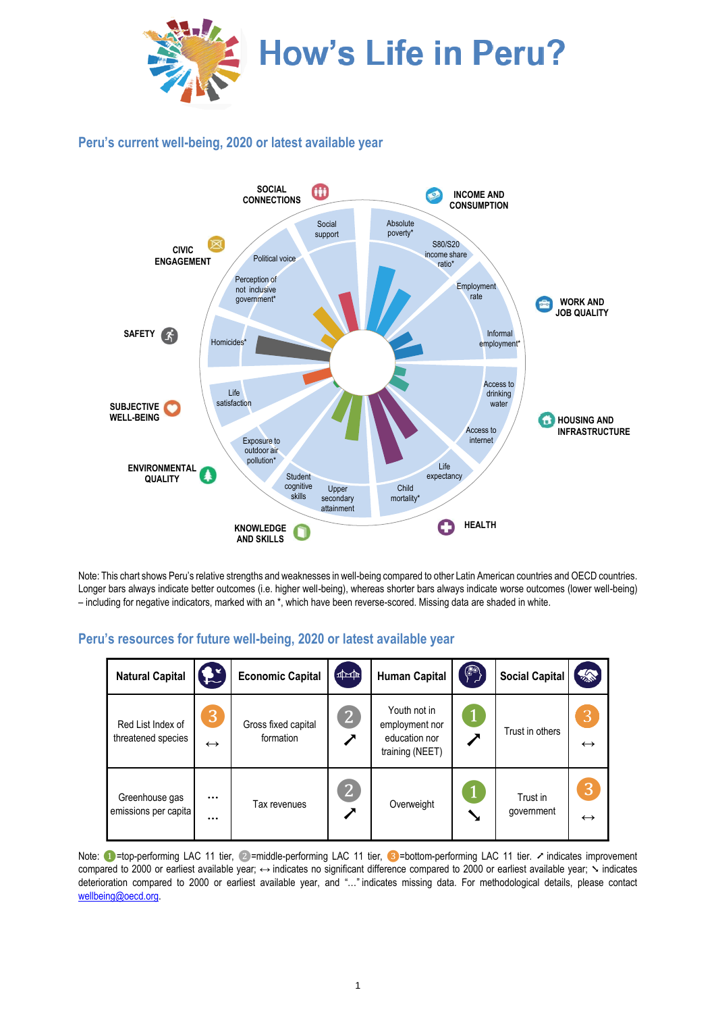

## **Peru's current well-being, 2020 or latest available year**



Note: This chart shows Peru's relative strengths and weaknesses in well-being compared to other Latin American countries and OECD countries. Longer bars always indicate better outcomes (i.e. higher well-being), whereas shorter bars always indicate worse outcomes (lower well-being) – including for negative indicators, marked with an \*, which have been reverse-scored. Missing data are shaded in white.

## **Peru's resources for future well-being, 2020 or latest available year**

| <b>Natural Capital</b>                  | £ž                     | <b>Economic Capital</b>          | $[\frac{1}{2}]$ | <b>Human Capital</b>                                               | $(\text{a})$ | <b>Social Capital</b>  | 念                      |
|-----------------------------------------|------------------------|----------------------------------|-----------------|--------------------------------------------------------------------|--------------|------------------------|------------------------|
| Red List Index of<br>threatened species | 3<br>$\leftrightarrow$ | Gross fixed capital<br>formation | $\mathbf{2}$    | Youth not in<br>employment nor<br>education nor<br>training (NEET) |              | Trust in others        | 3<br>$\leftrightarrow$ |
| Greenhouse gas<br>emissions per capita  | $\cdots$<br>$\cdots$   | Tax revenues                     | $\overline{2}$  | Overweight                                                         |              | Trust in<br>government | 3<br>$\leftrightarrow$ |

Note: ●=top-performing LAC 11 tier, ②=middle-performing LAC 11 tier, ③=bottom-performing LAC 11 tier. ৴ indicates improvement compared to 2000 or earliest available year; ↔ indicates no significant difference compared to 2000 or earliest available year;  $\sim$  indicates deterioration compared to 2000 or earliest available year, and "…" indicates missing data. For methodological details, please contact [wellbeing@oecd.org.](mailto:wellbeing@oecd.org)